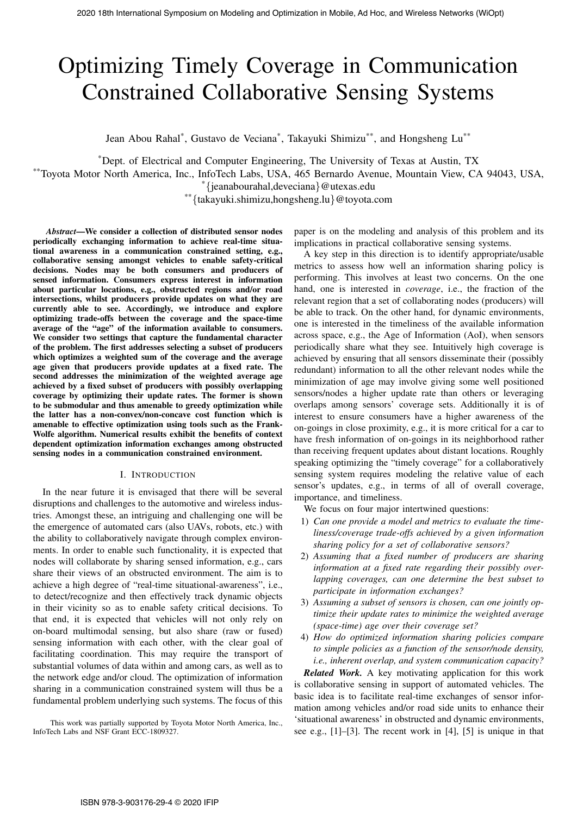# Optimizing Timely Coverage in Communication Constrained Collaborative Sensing Systems

Jean Abou Rahal\*, Gustavo de Veciana\*, Takayuki Shimizu\*\*, and Hongsheng Lu\*\*

\*Dept. of Electrical and Computer Engineering, The University of Texas at Austin, TX

\*\*Toyota Motor North America, Inc., InfoTech Labs, USA, 465 Bernardo Avenue, Mountain View, CA 94043, USA,

\*{jeanabourahal,deveciana}@utexas.edu

\*\*{takayuki.shimizu,hongsheng.lu}@toyota.com

*Abstract*—We consider a collection of distributed sensor nodes periodically exchanging information to achieve real-time situational awareness in a communication constrained setting, e.g., collaborative sensing amongst vehicles to enable safety-critical decisions. Nodes may be both consumers and producers of sensed information. Consumers express interest in information about particular locations, e.g., obstructed regions and/or road intersections, whilst producers provide updates on what they are currently able to see. Accordingly, we introduce and explore optimizing trade-offs between the coverage and the space-time average of the "age" of the information available to consumers. We consider two settings that capture the fundamental character of the problem. The first addresses selecting a subset of producers which optimizes a weighted sum of the coverage and the average age given that producers provide updates at a fixed rate. The second addresses the minimization of the weighted average age achieved by a fixed subset of producers with possibly overlapping coverage by optimizing their update rates. The former is shown to be submodular and thus amenable to greedy optimization while the latter has a non-convex/non-concave cost function which is amenable to effective optimization using tools such as the Frank-Wolfe algorithm. Numerical results exhibit the benefits of context dependent optimization information exchanges among obstructed sensing nodes in a communication constrained environment.

## I. INTRODUCTION

In the near future it is envisaged that there will be several disruptions and challenges to the automotive and wireless industries. Amongst these, an intriguing and challenging one will be the emergence of automated cars (also UAVs, robots, etc.) with the ability to collaboratively navigate through complex environments. In order to enable such functionality, it is expected that nodes will collaborate by sharing sensed information, e.g., cars share their views of an obstructed environment. The aim is to achieve a high degree of "real-time situational-awareness", i.e., to detect/recognize and then effectively track dynamic objects in their vicinity so as to enable safety critical decisions. To that end, it is expected that vehicles will not only rely on on-board multimodal sensing, but also share (raw or fused) sensing information with each other, with the clear goal of facilitating coordination. This may require the transport of substantial volumes of data within and among cars, as well as to the network edge and/or cloud. The optimization of information sharing in a communication constrained system will thus be a fundamental problem underlying such systems. The focus of this

paper is on the modeling and analysis of this problem and its implications in practical collaborative sensing systems.

A key step in this direction is to identify appropriate/usable metrics to assess how well an information sharing policy is performing. This involves at least two concerns. On the one hand, one is interested in *coverage*, i.e., the fraction of the relevant region that a set of collaborating nodes (producers) will be able to track. On the other hand, for dynamic environments, one is interested in the timeliness of the available information across space, e.g., the Age of Information (AoI), when sensors periodically share what they see. Intuitively high coverage is achieved by ensuring that all sensors disseminate their (possibly redundant) information to all the other relevant nodes while the minimization of age may involve giving some well positioned sensors/nodes a higher update rate than others or leveraging overlaps among sensors' coverage sets. Additionally it is of interest to ensure consumers have a higher awareness of the on-goings in close proximity, e.g., it is more critical for a car to have fresh information of on-goings in its neighborhood rather than receiving frequent updates about distant locations. Roughly speaking optimizing the "timely coverage" for a collaboratively sensing system requires modeling the relative value of each sensor's updates, e.g., in terms of all of overall coverage, importance, and timeliness. 2020 18th International Symposium on Notes Are an Optimization in Mobile, Ad Hoc are Mobile and The Constraints Constraints Constraints Constraints Constraints Constraints Constraints Constraints Constraints Constraints C

We focus on four major intertwined questions:

- 1) *Can one provide a model and metrics to evaluate the timeliness/coverage trade-offs achieved by a given information sharing policy for a set of collaborative sensors?*
- 2) *Assuming that a fixed number of producers are sharing information at a fixed rate regarding their possibly overlapping coverages, can one determine the best subset to participate in information exchanges?*
- 3) *Assuming a subset of sensors is chosen, can one jointly optimize their update rates to minimize the weighted average (space-time) age over their coverage set?*
- 4) *How do optimized information sharing policies compare to simple policies as a function of the sensor/node density, i.e., inherent overlap, and system communication capacity?*

*Related Work.* A key motivating application for this work is collaborative sensing in support of automated vehicles. The basic idea is to facilitate real-time exchanges of sensor information among vehicles and/or road side units to enhance their 'situational awareness' in obstructed and dynamic environments, see e.g., [1]–[3]. The recent work in [4], [5] is unique in that

This work was partially supported by Toyota Motor North America, Inc., InfoTech Labs and NSF Grant ECC-1809327.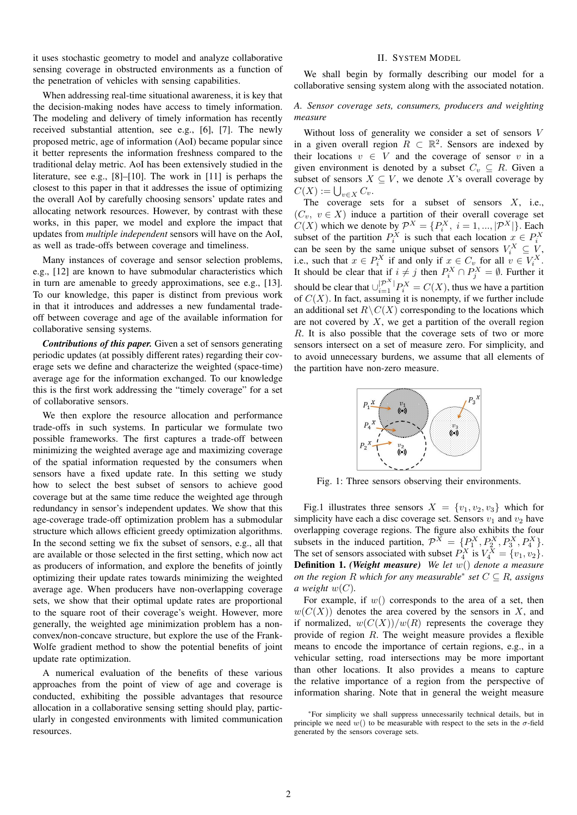it uses stochastic geometry to model and analyze collaborative sensing coverage in obstructed environments as a function of the penetration of vehicles with sensing capabilities.

When addressing real-time situational awareness, it is key that the decision-making nodes have access to timely information. The modeling and delivery of timely information has recently received substantial attention, see e.g., [6], [7]. The newly proposed metric, age of information (AoI) became popular since it better represents the information freshness compared to the traditional delay metric. AoI has been extensively studied in the literature, see e.g., [8]–[10]. The work in [11] is perhaps the closest to this paper in that it addresses the issue of optimizing the overall AoI by carefully choosing sensors' update rates and allocating network resources. However, by contrast with these works, in this paper, we model and explore the impact that updates from *multiple independent* sensors will have on the AoI, as well as trade-offs between coverage and timeliness.

Many instances of coverage and sensor selection problems, e.g., [12] are known to have submodular characteristics which in turn are amenable to greedy approximations, see e.g., [13]. To our knowledge, this paper is distinct from previous work in that it introduces and addresses a new fundamental tradeoff between coverage and age of the available information for collaborative sensing systems.

*Contributions of this paper.* Given a set of sensors generating periodic updates (at possibly different rates) regarding their coverage sets we define and characterize the weighted (space-time) average age for the information exchanged. To our knowledge this is the first work addressing the "timely coverage" for a set of collaborative sensors.

We then explore the resource allocation and performance trade-offs in such systems. In particular we formulate two possible frameworks. The first captures a trade-off between minimizing the weighted average age and maximizing coverage of the spatial information requested by the consumers when sensors have a fixed update rate. In this setting we study how to select the best subset of sensors to achieve good coverage but at the same time reduce the weighted age through redundancy in sensor's independent updates. We show that this age-coverage trade-off optimization problem has a submodular structure which allows efficient greedy optimization algorithms. In the second setting we fix the subset of sensors, e.g., all that are available or those selected in the first setting, which now act as producers of information, and explore the benefits of jointly optimizing their update rates towards minimizing the weighted average age. When producers have non-overlapping coverage sets, we show that their optimal update rates are proportional to the square root of their coverage's weight. However, more generally, the weighted age minimization problem has a nonconvex/non-concave structure, but explore the use of the Frank-Wolfe gradient method to show the potential benefits of joint update rate optimization.

A numerical evaluation of the benefits of these various approaches from the point of view of age and coverage is conducted, exhibiting the possible advantages that resource allocation in a collaborative sensing setting should play, particularly in congested environments with limited communication resources.

## II. SYSTEM MODEL

We shall begin by formally describing our model for a collaborative sensing system along with the associated notation.

## *A. Sensor coverage sets, consumers, producers and weighting measure*

Without loss of generality we consider a set of sensors V in a given overall region  $R \subset \mathbb{R}^2$ . Sensors are indexed by their locations  $v \in V$  and the coverage of sensor v in a given environment is denoted by a subset  $C_v \subseteq R$ . Given a subset of sensors  $X \subseteq V$ , we denote X's overall coverage by  $C(X) := \bigcup_{v \in X} C_v.$ 

The coverage sets for a subset of sensors  $X$ , i.e.,  $(C_v, v \in X)$  induce a partition of their overall coverage set  $C(X)$  which we denote by  $\mathcal{P}^X = \{P_i^X, i = 1, ..., |\mathcal{P}^X|\}.$  Each subset of the partition  $P_i^X$  is such that each location  $x \in P_i^X$ can be seen by the same unique subset of sensors  $V_i^X \subseteq V$ , i.e., such that  $x \in P_i^X$  if and only if  $x \in C_v$  for all  $v \in V_i^X$ . It should be clear that if  $i \neq j$  then  $P_i^X \cap P_j^X = \emptyset$ . Further it should be clear that  $\bigcup_{i=1}^{|\mathcal{P}^X|} P_i^X = C(X)$ , thus we have a partition of  $C(X)$ . In fact, assuming it is nonempty, if we further include an additional set  $R\backslash C(X)$  corresponding to the locations which are not covered by  $X$ , we get a partition of the overall region R. It is also possible that the coverage sets of two or more sensors intersect on a set of measure zero. For simplicity, and to avoid unnecessary burdens, we assume that all elements of the partition have non-zero measure.



Fig. 1: Three sensors observing their environments.

Fig.1 illustrates three sensors  $X = \{v_1, v_2, v_3\}$  which for simplicity have each a disc coverage set. Sensors  $v_1$  and  $v_2$  have overlapping coverage regions. The figure also exhibits the four subsets in the induced partition,  $\mathcal{P}^X = \{P_1^X, P_2^X, P_3^X, P_4^X\}.$ The set of sensors associated with subset  $P_4^X$  is  $V_4^X = \{v_1, v_2\}.$ Definition 1. *(Weight measure) We let* w() *denote a measure on the region*  $R$  *which for any measurable*<sup>\*</sup> *set*  $C \subseteq R$ *, assigns a* weight  $w(C)$ .

For example, if  $w()$  corresponds to the area of a set, then  $w(C(X))$  denotes the area covered by the sensors in X, and if normalized,  $w(C(X))/w(R)$  represents the coverage they provide of region  $R$ . The weight measure provides a flexible means to encode the importance of certain regions, e.g., in a vehicular setting, road intersections may be more important than other locations. It also provides a means to capture the relative importance of a region from the perspective of information sharing. Note that in general the weight measure

<sup>\*</sup>For simplicity we shall suppress unnecessarily technical details, but in principle we need  $w()$  to be measurable with respect to the sets in the  $\sigma$ -field generated by the sensors coverage sets.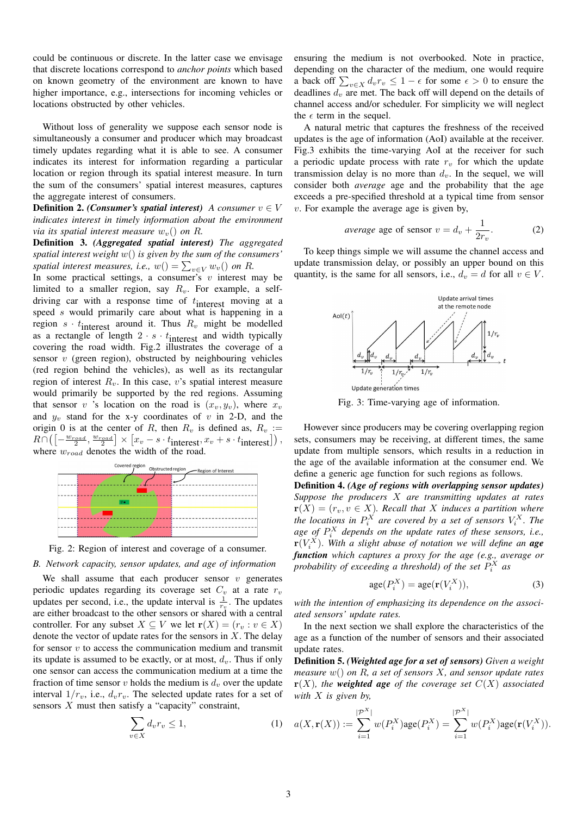could be continuous or discrete. In the latter case we envisage that discrete locations correspond to *anchor points* which based on known geometry of the environment are known to have higher importance, e.g., intersections for incoming vehicles or locations obstructed by other vehicles.

Without loss of generality we suppose each sensor node is simultaneously a consumer and producer which may broadcast timely updates regarding what it is able to see. A consumer indicates its interest for information regarding a particular location or region through its spatial interest measure. In turn the sum of the consumers' spatial interest measures, captures the aggregate interest of consumers.

**Definition 2.** *(Consumer's spatial interest) A consumer*  $v \in V$ *indicates interest in timely information about the environment via its spatial interest measure*  $w<sub>v</sub>$  () on R.

Definition 3. *(Aggregated spatial interest) The aggregated spatial interest weight* w() *is given by the sum of the consumers' spatial interest measures, i.e.,*  $w() = \sum_{v \in V} w_v()$  *on* R.

In some practical settings, a consumer's  $v$  interest may be limited to a smaller region, say  $R_v$ . For example, a selfdriving car with a response time of  $t_{\text{interest}}$  moving at a speed s would primarily care about what is happening in a region  $s \cdot t$  interest around it. Thus  $R_v$  might be modelled as a rectangle of length  $2 \cdot s \cdot t$  interest and width typically covering the road width. Fig.2 illustrates the coverage of a sensor  $v$  (green region), obstructed by neighbouring vehicles (red region behind the vehicles), as well as its rectangular region of interest  $R_v$ . In this case, v's spatial interest measure would primarily be supported by the red regions. Assuming that sensor v 's location on the road is  $(x_v, y_v)$ , where  $x_v$ and  $y_v$  stand for the x-y coordinates of v in 2-D, and the origin 0 is at the center of R, then  $R_v$  is defined as,  $R_v :=$  $R\cap\left(\left[-\frac{w_{road}}{2},\frac{w_{road}}{2}\right]\times\left[x_v-s\cdot t_{\text{interest}},x_v+s\cdot t_{\text{interest}}\right]\right),$ where  $w_{road}$  denotes the width of the road.



Fig. 2: Region of interest and coverage of a consumer.

## *B. Network capacity, sensor updates, and age of information*

We shall assume that each producer sensor  $v$  generates periodic updates regarding its coverage set  $C_v$  at a rate  $r_v$ updates per second, i.e., the update interval is  $\frac{1}{r_v}$ . The updates are either broadcast to the other sensors or shared with a central controller. For any subset  $X \subseteq V$  we let  $\mathbf{r}(X) = (r_v : v \in X)$ denote the vector of update rates for the sensors in  $X$ . The delay for sensor  $v$  to access the communication medium and transmit its update is assumed to be exactly, or at most,  $d_v$ . Thus if only one sensor can access the communication medium at a time the fraction of time sensor v holds the medium is  $d_v$  over the update interval  $1/r_v$ , i.e.,  $d_v r_v$ . The selected update rates for a set of sensors  $X$  must then satisfy a "capacity" constraint,

$$
\sum_{v \in X} d_v r_v \le 1,\tag{1}
$$

ensuring the medium is not overbooked. Note in practice, depending on the character of the medium, one would require a back off  $\sum_{v \in X} d_v r_v \leq 1 - \epsilon$  for some  $\epsilon > 0$  to ensure the deadlines  $d<sub>v</sub>$  are met. The back off will depend on the details of channel access and/or scheduler. For simplicity we will neglect the  $\epsilon$  term in the sequel.

A natural metric that captures the freshness of the received updates is the age of information (AoI) available at the receiver. Fig.3 exhibits the time-varying AoI at the receiver for such a periodic update process with rate  $r_v$  for which the update transmission delay is no more than  $d_v$ . In the sequel, we will consider both *average* age and the probability that the age exceeds a pre-specified threshold at a typical time from sensor  $v$ . For example the average age is given by,

$$
average age of sensor v = d_v + \frac{1}{2r_v}.
$$
 (2)

To keep things simple we will assume the channel access and update transmission delay, or possibly an upper bound on this quantity, is the same for all sensors, i.e.,  $d_v = d$  for all  $v \in V$ .



Fig. 3: Time-varying age of information.

However since producers may be covering overlapping region sets, consumers may be receiving, at different times, the same update from multiple sensors, which results in a reduction in the age of the available information at the consumer end. We define a generic age function for such regions as follows.

Definition 4. *(Age of regions with overlapping sensor updates) Suppose the producers* X *are transmitting updates at rates*  $\mathbf{r}(X) = (r_v, v \in X)$ . Recall that X induces a partition where *the locations in*  $P_i^X$  are covered by a set of sensors  $V_i^X$ . The *age of* P X i *depends on the update rates of these sensors, i.e.,*  $\mathbf{r}(V_i^X)$ . With a slight abuse of notation we will define an **age** *function which captures a proxy for the age (e.g., average or probability of exceeding a threshold) of the set*  $P_i^X$  *as* 

$$
age(P_i^X) = age(\mathbf{r}(V_i^X)),\tag{3}
$$

*with the intention of emphasizing its dependence on the associated sensors' update rates.*

In the next section we shall explore the characteristics of the age as a function of the number of sensors and their associated update rates.

Definition 5. *(Weighted age for a set of sensors) Given a weight measure* w() *on* R*, a set of sensors* X*, and sensor update rates*  $\mathbf{r}(X)$ *, the weighted age of the coverage set*  $C(X)$  *associated with* X *is given by,*

1) 
$$
a(X, \mathbf{r}(X)) := \sum_{i=1}^{|\mathcal{P}^X|} w(P_i^X) \text{age}(P_i^X) = \sum_{i=1}^{|\mathcal{P}^X|} w(P_i^X) \text{age}(\mathbf{r}(V_i^X)).
$$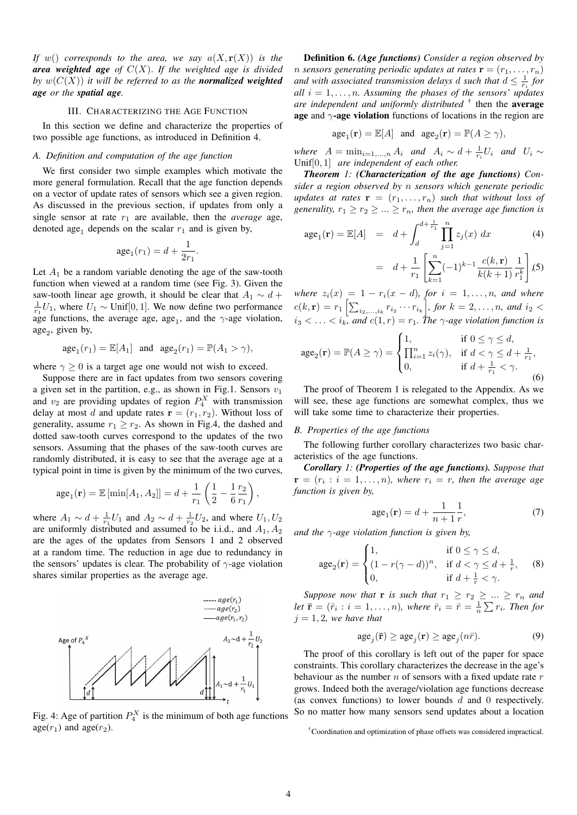*If* w() *corresponds to the area, we say*  $a(X, r(X))$  *is the area weighted age of* C(X). *If the weighted age is divided* by  $w(C(X))$  *it will be referred to as the normalized weighted age or the spatial age.*

## III. CHARACTERIZING THE AGE FUNCTION

In this section we define and characterize the properties of two possible age functions, as introduced in Definition 4.

## *A. Definition and computation of the age function*

We first consider two simple examples which motivate the more general formulation. Recall that the age function depends on a vector of update rates of sensors which see a given region. As discussed in the previous section, if updates from only a single sensor at rate  $r_1$  are available, then the *average* age, denoted age<sub>1</sub> depends on the scalar  $r_1$  and is given by,

$$
age_1(r_1) = d + \frac{1}{2r_1}.
$$

Let  $A_1$  be a random variable denoting the age of the saw-tooth function when viewed at a random time (see Fig. 3). Given the saw-tooth linear age growth, it should be clear that  $A_1 \sim d +$  $\frac{1}{r_1}U_1$ , where  $U_1 \sim$  Unif[0, 1]. We now define two performance age functions, the average age, age<sub>1</sub>, and the  $\gamma$ -age violation,  $age<sub>2</sub>$ , given by,

$$
age_1(r_1) = \mathbb{E}[A_1] \text{ and } age_2(r_1) = \mathbb{P}(A_1 > \gamma),
$$

where  $\gamma > 0$  is a target age one would not wish to exceed.

Suppose there are in fact updates from two sensors covering a given set in the partition, e.g., as shown in Fig.1. Sensors  $v_1$ and  $v_2$  are providing updates of region  $P_4^X$  with transmission delay at most d and update rates  $\mathbf{r} = (r_1, r_2)$ . Without loss of generality, assume  $r_1 \ge r_2$ . As shown in Fig.4, the dashed and dotted saw-tooth curves correspond to the updates of the two sensors. Assuming that the phases of the saw-tooth curves are randomly distributed, it is easy to see that the average age at a typical point in time is given by the minimum of the two curves,

$$
age_1(\mathbf{r}) = \mathbb{E} [\min[A_1, A_2]] = d + \frac{1}{r_1} \left( \frac{1}{2} - \frac{1}{6} \frac{r_2}{r_1} \right),
$$

where  $A_1 \sim d + \frac{1}{r_1} U_1$  and  $A_2 \sim d + \frac{1}{r_2} U_2$ , and where  $U_1, U_2$ are uniformly distributed and assumed to be i.i.d., and  $A_1, A_2$ are the ages of the updates from Sensors 1 and 2 observed at a random time. The reduction in age due to redundancy in the sensors' updates is clear. The probability of  $\gamma$ -age violation shares similar properties as the average age.



Fig. 4: Age of partition  $P_4^X$  is the minimum of both age functions age( $r_1$ ) and age( $r_2$ ).

Definition 6. *(Age functions) Consider a region observed by n* sensors generating periodic updates at rates  $\mathbf{r} = (r_1, \ldots, r_n)$ and with associated transmission delays  $d$  such that  $d \leq \frac{1}{r_i}$  for  $all i = 1, \ldots, n$ . Assuming the phases of the sensors' updates *are independent and uniformly distributed* † then the average age and  $\gamma$ -age violation functions of locations in the region are

$$
age_1(\mathbf{r}) = \mathbb{E}[A] \quad \text{and} \quad age_2(\mathbf{r}) = \mathbb{P}(A \ge \gamma),
$$

*where*  $A = \min_{i=1,\dots,n} A_i$  *and*  $A_i \sim d + \frac{1}{r_i} U_i$  *and*  $U_i \sim$ Unif[0, 1] *are independent of each other.*

*Theorem 1: (Characterization of the age functions) Consider a region observed by* n *sensors which generate periodic updates at rates*  $\mathbf{r} = (r_1, \ldots, r_n)$  *such that without loss of generality,*  $r_1 \ge r_2 \ge ... \ge r_n$ *, then the average age function is* 

$$
age_1(\mathbf{r}) = \mathbb{E}[A] = d + \int_d^{d + \frac{1}{r_1}} \prod_{j=1}^n z_j(x) dx
$$
 (4)

$$
= d + \frac{1}{r_1} \left[ \sum_{k=1}^{n} (-1)^{k-1} \frac{c(k, \mathbf{r})}{k(k+1)} \frac{1}{r_1^k} \right], (5)
$$

*where*  $z_i(x) = 1 - r_i(x - d)$ *, for*  $i = 1, \ldots, n$ *, and where*  $c(k, \mathbf{r}) = r_1 \left[ \sum_{i_2, ..., i_k} r_{i_2} \cdots r_{i_k} \right]$ , for  $k = 2, ..., n$ , and  $i_2 <$  $i_3 < \ldots < i_k$ , and  $c(1,r) = r_1$ . The  $\gamma$ -age violation function is

$$
age_2(\mathbf{r}) = \mathbb{P}(A \ge \gamma) = \begin{cases} 1, & \text{if } 0 \le \gamma \le d, \\ \prod_{i=1}^n z_i(\gamma), & \text{if } d < \gamma \le d + \frac{1}{r_1}, \\ 0, & \text{if } d + \frac{1}{r_1} < \gamma. \end{cases} \tag{6}
$$

The proof of Theorem 1 is relegated to the Appendix. As we will see, these age functions are somewhat complex, thus we will take some time to characterize their properties.

## *B. Properties of the age functions*

The following further corollary characterizes two basic characteristics of the age functions.

*Corollary 1: (Properties of the age functions). Suppose that*  $\mathbf{r} = (r_i : i = 1, \dots, n)$ , where  $r_i = r$ , then the average age *function is given by,*

$$
age_1(\mathbf{r}) = d + \frac{1}{n+1} \frac{1}{r},\tag{7}
$$

*and the* γ*-age violation function is given by,*

$$
age_2(\mathbf{r}) = \begin{cases} 1, & \text{if } 0 \le \gamma \le d, \\ (1 - r(\gamma - d))^n, & \text{if } d < \gamma \le d + \frac{1}{r}, \\ 0, & \text{if } d + \frac{1}{r} < \gamma. \end{cases} \tag{8}
$$

*Suppose now that* **r** *is such that*  $r_1 \geq r_2 \geq ... \geq r_n$  *and* Let  $\bar{\mathbf{r}} = (\bar{r}_i : i = 1, \dots, n)$ , where  $\bar{r}_i = \bar{r} = \frac{1}{n} \sum r_i$ . Then for  $j = 1, 2$ *, we have that* 

$$
age_j(\mathbf{\bar{r}}) \ge age_j(\mathbf{r}) \ge age_j(n\bar{r}).\tag{9}
$$

The proof of this corollary is left out of the paper for space constraints. This corollary characterizes the decrease in the age's behaviour as the number  $n$  of sensors with a fixed update rate  $r$ grows. Indeed both the average/violation age functions decrease (as convex functions) to lower bounds  $d$  and 0 respectively. So no matter how many sensors send updates about a location

†Coordination and optimization of phase offsets was considered impractical.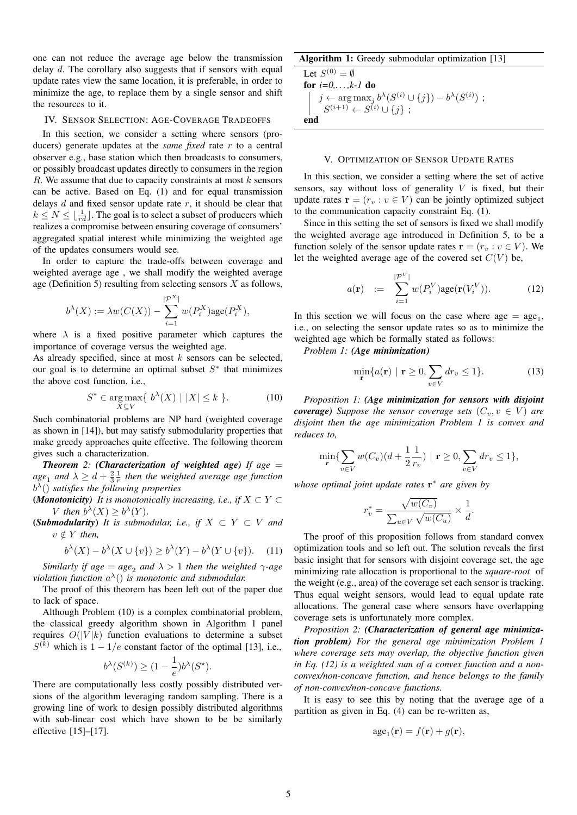one can not reduce the average age below the transmission delay d. The corollary also suggests that if sensors with equal update rates view the same location, it is preferable, in order to minimize the age, to replace them by a single sensor and shift the resources to it.

## IV. SENSOR SELECTION: AGE-COVERAGE TRADEOFFS

In this section, we consider a setting where sensors (producers) generate updates at the *same fixed* rate r to a central observer e.g., base station which then broadcasts to consumers, or possibly broadcast updates directly to consumers in the region R. We assume that due to capacity constraints at most  $k$  sensors can be active. Based on Eq. (1) and for equal transmission delays  $d$  and fixed sensor update rate  $r$ , it should be clear that  $k \leq N \leq \lfloor \frac{1}{rd} \rfloor$ . The goal is to select a subset of producers which realizes a compromise between ensuring coverage of consumers' aggregated spatial interest while minimizing the weighted age of the updates consumers would see.

In order to capture the trade-offs between coverage and weighted average age , we shall modify the weighted average age (Definition 5) resulting from selecting sensors  $X$  as follows,

$$
b^{\lambda}(X) := \lambda w(C(X)) - \sum_{i=1}^{|\mathcal{P}^X|} w(P_i^X) \text{age}(P_i^X),
$$

where  $\lambda$  is a fixed positive parameter which captures the importance of coverage versus the weighted age.

As already specified, since at most  $k$  sensors can be selected, our goal is to determine an optimal subset  $S^*$  that minimizes the above cost function, i.e.,

$$
S^* \in \underset{X \subseteq V}{\text{arg}\max} \{ b^{\lambda}(X) \mid |X| \le k \}.
$$
 (10)

Such combinatorial problems are NP hard (weighted coverage as shown in [14]), but may satisfy submodularity properties that make greedy approaches quite effective. The following theorem gives such a characterization.

*Theorem 2: (Characterization of weighted age) If age* =  $age_1$  and  $\lambda \geq d + \frac{2}{3} \frac{1}{r}$  then the weighted average age function b λ () *satisfies the following properties*

(*Monotonicity*) *It is monotonically increasing, i.e., if*  $X \subset Y \subset Y$ *V* then  $b^{\lambda}(X) \geq b^{\lambda}(Y)$ .

(*Submodularity*) *It is submodular, i.e., if*  $X \subset Y \subset V$  *and*  $v \notin Y$  *then,* 

$$
b^{\lambda}(X) - b^{\lambda}(X \cup \{v\}) \ge b^{\lambda}(Y) - b^{\lambda}(Y \cup \{v\}). \tag{11}
$$

*Similarly if*  $age = age_2$  *and*  $\lambda > 1$  *then the weighted*  $\gamma$ *-age* violation function  $a^{\lambda}()$  is monotonic and submodular.

The proof of this theorem has been left out of the paper due to lack of space.

Although Problem (10) is a complex combinatorial problem, the classical greedy algorithm shown in Algorithm 1 panel requires  $O(|V|k)$  function evaluations to determine a subset  $S^{(k)}$  which is  $1 - 1/e$  constant factor of the optimal [13], i.e.,

$$
b^{\lambda}(S^{(k)}) \ge (1 - \frac{1}{e})b^{\lambda}(S^{\star}).
$$

There are computationally less costly possibly distributed versions of the algorithm leveraging random sampling. There is a growing line of work to design possibly distributed algorithms with sub-linear cost which have shown to be be similarly effective [15]–[17].

## Algorithm 1: Greedy submodular optimization [13]

Let  $S^{(0)} = \emptyset$ **for**  $i=0,...,k-1$  **do**  $j \leftarrow \arg \max_j b^{\lambda}(S^{(i)} \cup \{j\}) - b^{\lambda}(S^{(i)})$ ;  $S^{(i+1)} \leftarrow S^{(i)} \cup \{j\}$ ; end

#### V. OPTIMIZATION OF SENSOR UPDATE RATES

In this section, we consider a setting where the set of active sensors, say without loss of generality  $V$  is fixed, but their update rates  $\mathbf{r} = (r_v : v \in V)$  can be jointly optimized subject to the communication capacity constraint Eq. (1).

Since in this setting the set of sensors is fixed we shall modify the weighted average age introduced in Definition 5, to be a function solely of the sensor update rates  $\mathbf{r} = (r_v : v \in V)$ . We let the weighted average age of the covered set  $C(V)$  be,

$$
a(\mathbf{r}) \quad := \quad \sum_{i=1}^{|\mathcal{P}^V|} w(P_i^V) \text{age}(\mathbf{r}(V_i^V)). \tag{12}
$$

In this section we will focus on the case where  $age = age_1$ , i.e., on selecting the sensor update rates so as to minimize the weighted age which be formally stated as follows:

*Problem 1: (Age minimization)*

$$
\min_{\mathbf{r}} \{ a(\mathbf{r}) \mid \mathbf{r} \ge 0, \sum_{v \in V} dr_v \le 1 \}. \tag{13}
$$

*Proposition 1: (Age minimization for sensors with disjoint coverage)* Suppose the sensor coverage sets  $(C_v, v \in V)$  are *disjoint then the age minimization Problem 1 is convex and reduces to,*

$$
\min_{\mathbf{r}} \{ \sum_{v \in V} w(C_v)(d + \frac{1}{2} \frac{1}{r_v}) \mid \mathbf{r} \ge 0, \sum_{v \in V} dr_v \le 1 \},\
$$

*whose optimal joint update rates* r <sup>∗</sup> *are given by*

$$
r_v^* = \frac{\sqrt{w(C_v)}}{\sum_{u \in V} \sqrt{w(C_u)}} \times \frac{1}{d}.
$$

The proof of this proposition follows from standard convex optimization tools and so left out. The solution reveals the first basic insight that for sensors with disjoint coverage set, the age minimizing rate allocation is proportional to the *square-root* of the weight (e.g., area) of the coverage set each sensor is tracking. Thus equal weight sensors, would lead to equal update rate allocations. The general case where sensors have overlapping coverage sets is unfortunately more complex.

*Proposition 2: (Characterization of general age minimization problem) For the general age minimization Problem 1 where coverage sets may overlap, the objective function given in Eq. (12) is a weighted sum of a convex function and a nonconvex/non-concave function, and hence belongs to the family of non-convex/non-concave functions.*

It is easy to see this by noting that the average age of a partition as given in Eq. (4) can be re-written as,

$$
age_1(\mathbf{r}) = f(\mathbf{r}) + g(\mathbf{r}),
$$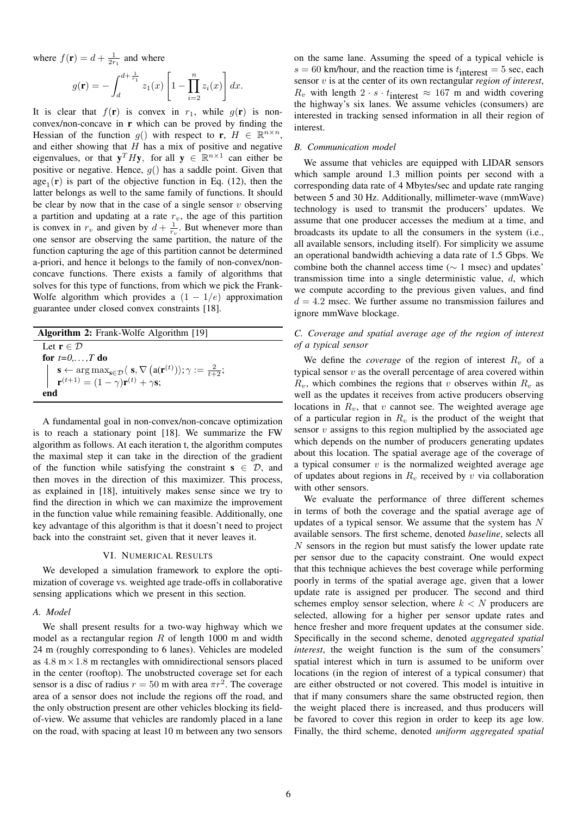where  $f(\mathbf{r}) = d + \frac{1}{2r_1}$  and where

$$
g(\mathbf{r}) = -\int_{d}^{d+\frac{1}{r_1}} z_1(x) \left[1 - \prod_{i=2}^{n} z_i(x)\right] dx.
$$

It is clear that  $f(\mathbf{r})$  is convex in  $r_1$ , while  $g(\mathbf{r})$  is nonconvex/non-concave in r which can be proved by finding the Hessian of the function  $g()$  with respect to  $\mathbf{r}, H \in \mathbb{R}^{n \times n}$ , and either showing that  $H$  has a mix of positive and negative eigenvalues, or that  $y^T H y$ , for all  $y \in \mathbb{R}^{n \times 1}$  can either be positive or negative. Hence,  $q()$  has a saddle point. Given that  $age_1(r)$  is part of the objective function in Eq. (12), then the latter belongs as well to the same family of functions. It should be clear by now that in the case of a single sensor  $v$  observing a partition and updating at a rate  $r_v$ , the age of this partition is convex in  $r_v$  and given by  $d + \frac{1}{r_v}$ . But whenever more than one sensor are observing the same partition, the nature of the function capturing the age of this partition cannot be determined a-priori, and hence it belongs to the family of non-convex/nonconcave functions. There exists a family of algorithms that solves for this type of functions, from which we pick the Frank-Wolfe algorithm which provides a  $(1 - 1/e)$  approximation guarantee under closed convex constraints [18].

| <b>Algorithm 2:</b> Frank-Wolfe Algorithm [19]                                                                                                                                                                                                                                      |  |
|-------------------------------------------------------------------------------------------------------------------------------------------------------------------------------------------------------------------------------------------------------------------------------------|--|
| Let $\mathbf{r} \in \mathcal{D}$                                                                                                                                                                                                                                                    |  |
| for $t=0,\ldots,T$ do                                                                                                                                                                                                                                                               |  |
|                                                                                                                                                                                                                                                                                     |  |
| $\begin{array}{ll} & \mathbf{s} \leftarrow \arg \max_{\mathbf{s} \in \mathcal{D}} \langle \ \mathbf{s}, \nabla \left( \mathbf{a}(\mathbf{r}^{(t)}) \right) \rangle; \gamma := \frac{2}{t+2}; \\ & \mathbf{r}^{(t+1)} = (1-\gamma)\mathbf{r}^{(t)} + \gamma \mathbf{s}; \end{array}$ |  |
| end                                                                                                                                                                                                                                                                                 |  |

A fundamental goal in non-convex/non-concave optimization is to reach a stationary point [18]. We summarize the FW algorithm as follows. At each iteration t, the algorithm computes the maximal step it can take in the direction of the gradient of the function while satisfying the constraint  $s \in \mathcal{D}$ , and then moves in the direction of this maximizer. This process, as explained in [18], intuitively makes sense since we try to find the direction in which we can maximize the improvement in the function value while remaining feasible. Additionally, one key advantage of this algorithm is that it doesn't need to project back into the constraint set, given that it never leaves it.

## VI. NUMERICAL RESULTS

We developed a simulation framework to explore the optimization of coverage vs. weighted age trade-offs in collaborative sensing applications which we present in this section.

## *A. Model*

We shall present results for a two-way highway which we model as a rectangular region  $R$  of length 1000 m and width 24 m (roughly corresponding to 6 lanes). Vehicles are modeled as  $4.8 \text{ m} \times 1.8 \text{ m}$  rectangles with omnidirectional sensors placed in the center (rooftop). The unobstructed coverage set for each sensor is a disc of radius  $r = 50$  m with area  $\pi r^2$ . The coverage area of a sensor does not include the regions off the road, and the only obstruction present are other vehicles blocking its fieldof-view. We assume that vehicles are randomly placed in a lane on the road, with spacing at least 10 m between any two sensors on the same lane. Assuming the speed of a typical vehicle is  $s = 60$  km/hour, and the reaction time is  $t_{\text{interest}} = 5$  sec, each sensor v is at the center of its own rectangular *region of interest*,  $R_v$  with length  $2 \cdot s \cdot t$  interest  $\approx 167$  m and width covering the highway's six lanes. We assume vehicles (consumers) are interested in tracking sensed information in all their region of interest.

## *B. Communication model*

We assume that vehicles are equipped with LIDAR sensors which sample around 1.3 million points per second with a corresponding data rate of 4 Mbytes/sec and update rate ranging between 5 and 30 Hz. Additionally, millimeter-wave (mmWave) technology is used to transmit the producers' updates. We assume that one producer accesses the medium at a time, and broadcasts its update to all the consumers in the system (i.e., all available sensors, including itself). For simplicity we assume an operational bandwidth achieving a data rate of 1.5 Gbps. We combine both the channel access time ( $\sim$  1 msec) and updates' transmission time into a single deterministic value,  $d$ , which we compute according to the previous given values, and find  $d = 4.2$  msec. We further assume no transmission failures and ignore mmWave blockage.

## *C. Coverage and spatial average age of the region of interest of a typical sensor*

We define the *coverage* of the region of interest  $R_v$  of a typical sensor  $v$  as the overall percentage of area covered within  $R_v$ , which combines the regions that v observes within  $R_v$  as well as the updates it receives from active producers observing locations in  $R_v$ , that v cannot see. The weighted average age of a particular region in  $R_v$  is the product of the weight that sensor  $v$  assigns to this region multiplied by the associated age which depends on the number of producers generating updates about this location. The spatial average age of the coverage of a typical consumer  $v$  is the normalized weighted average age of updates about regions in  $R_v$  received by v via collaboration with other sensors.

We evaluate the performance of three different schemes in terms of both the coverage and the spatial average age of updates of a typical sensor. We assume that the system has  $N$ available sensors. The first scheme, denoted *baseline*, selects all  $N$  sensors in the region but must satisfy the lower update rate per sensor due to the capacity constraint. One would expect that this technique achieves the best coverage while performing poorly in terms of the spatial average age, given that a lower update rate is assigned per producer. The second and third schemes employ sensor selection, where  $k < N$  producers are selected, allowing for a higher per sensor update rates and hence fresher and more frequent updates at the consumer side. Specifically in the second scheme, denoted *aggregated spatial interest*, the weight function is the sum of the consumers' spatial interest which in turn is assumed to be uniform over locations (in the region of interest of a typical consumer) that are either obstructed or not covered. This model is intuitive in that if many consumers share the same obstructed region, then the weight placed there is increased, and thus producers will be favored to cover this region in order to keep its age low. Finally, the third scheme, denoted *uniform aggregated spatial*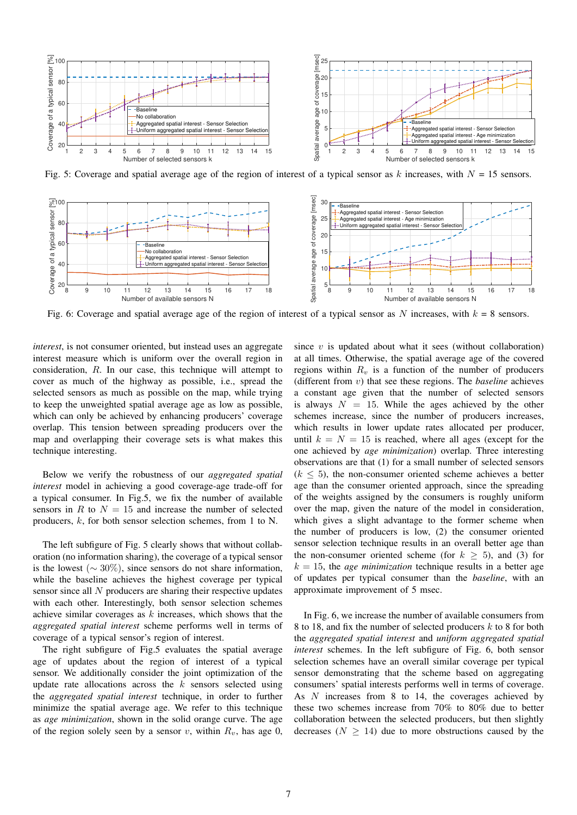

Fig. 5: Coverage and spatial average age of the region of interest of a typical sensor as k increases, with  $N = 15$  sensors.



Fig. 6: Coverage and spatial average age of the region of interest of a typical sensor as N increases, with  $k = 8$  sensors.

*interest*, is not consumer oriented, but instead uses an aggregate interest measure which is uniform over the overall region in consideration, R. In our case, this technique will attempt to cover as much of the highway as possible, i.e., spread the selected sensors as much as possible on the map, while trying to keep the unweighted spatial average age as low as possible, which can only be achieved by enhancing producers' coverage overlap. This tension between spreading producers over the map and overlapping their coverage sets is what makes this technique interesting.

Below we verify the robustness of our *aggregated spatial interest* model in achieving a good coverage-age trade-off for a typical consumer. In Fig.5, we fix the number of available sensors in R to  $N = 15$  and increase the number of selected producers, k, for both sensor selection schemes, from 1 to N.

The left subfigure of Fig. 5 clearly shows that without collaboration (no information sharing), the coverage of a typical sensor is the lowest ( $\sim 30\%$ ), since sensors do not share information, while the baseline achieves the highest coverage per typical sensor since all N producers are sharing their respective updates with each other. Interestingly, both sensor selection schemes achieve similar coverages as  $k$  increases, which shows that the *aggregated spatial interest* scheme performs well in terms of coverage of a typical sensor's region of interest.

The right subfigure of Fig.5 evaluates the spatial average age of updates about the region of interest of a typical sensor. We additionally consider the joint optimization of the update rate allocations across the  $k$  sensors selected using the *aggregated spatial interest* technique, in order to further minimize the spatial average age. We refer to this technique as *age minimization*, shown in the solid orange curve. The age of the region solely seen by a sensor v, within  $R_v$ , has age 0, since  $v$  is updated about what it sees (without collaboration) at all times. Otherwise, the spatial average age of the covered regions within  $R_v$  is a function of the number of producers (different from v) that see these regions. The *baseline* achieves a constant age given that the number of selected sensors is always  $N = 15$ . While the ages achieved by the other schemes increase, since the number of producers increases, which results in lower update rates allocated per producer, until  $k = N = 15$  is reached, where all ages (except for the one achieved by *age minimization*) overlap. Three interesting observations are that (1) for a small number of selected sensors  $(k \leq 5)$ , the non-consumer oriented scheme achieves a better age than the consumer oriented approach, since the spreading of the weights assigned by the consumers is roughly uniform over the map, given the nature of the model in consideration, which gives a slight advantage to the former scheme when the number of producers is low, (2) the consumer oriented sensor selection technique results in an overall better age than the non-consumer oriented scheme (for  $k \geq 5$ ), and (3) for  $k = 15$ , the *age minimization* technique results in a better age of updates per typical consumer than the *baseline*, with an approximate improvement of 5 msec.

In Fig. 6, we increase the number of available consumers from 8 to 18, and fix the number of selected producers k to 8 for both the *aggregated spatial interest* and *uniform aggregated spatial interest* schemes. In the left subfigure of Fig. 6, both sensor selection schemes have an overall similar coverage per typical sensor demonstrating that the scheme based on aggregating consumers' spatial interests performs well in terms of coverage. As N increases from 8 to 14, the coverages achieved by these two schemes increase from 70% to 80% due to better collaboration between the selected producers, but then slightly decreases ( $N \geq 14$ ) due to more obstructions caused by the